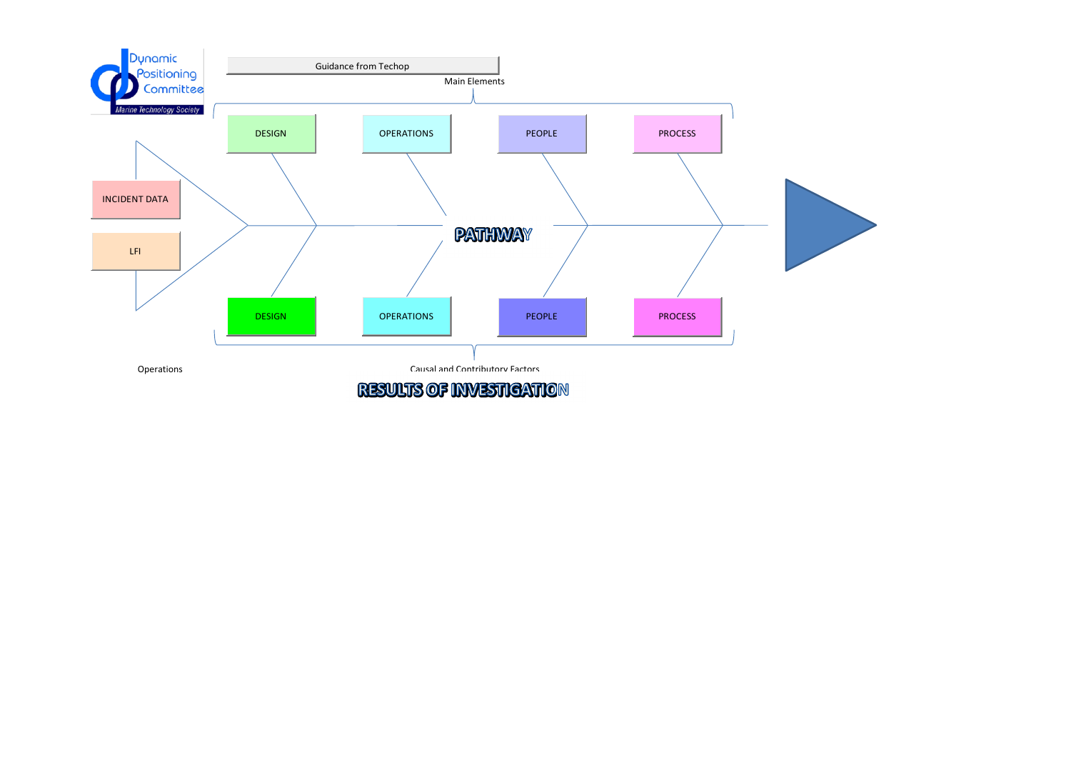

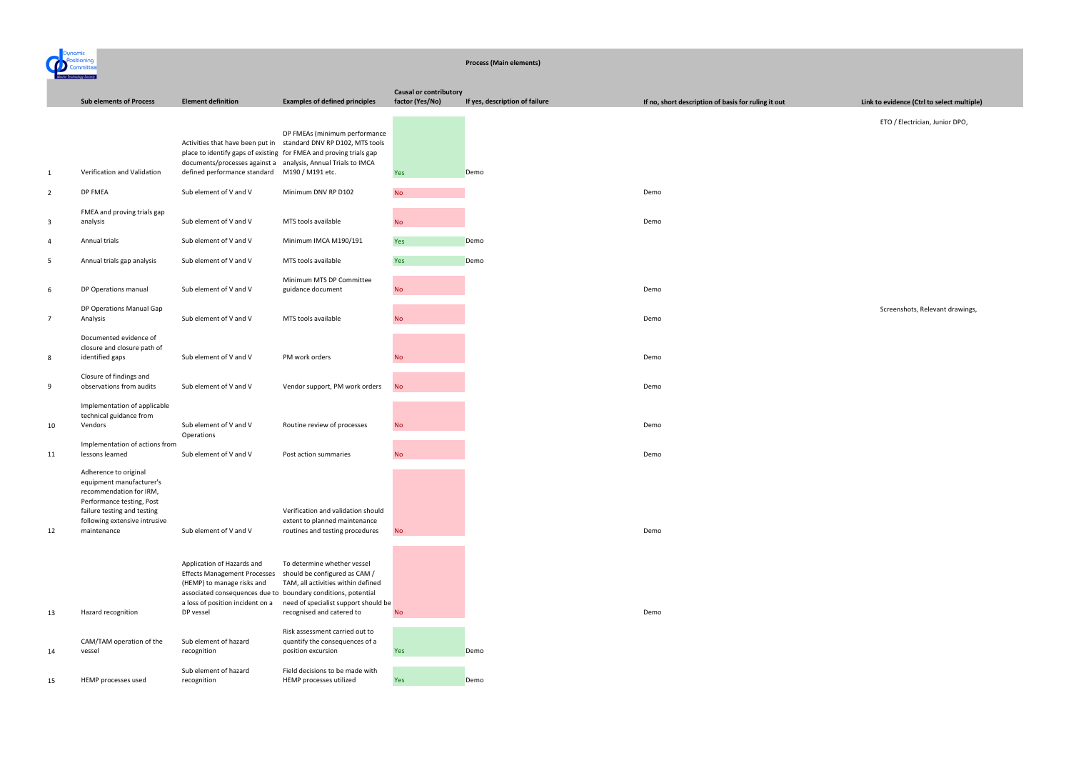ETO / Electrician, Junior DPO,

Screenshots, Relevant drawings,

|                |                                                                                                                                                                                          |                                                                                                                                                                                    |                                                                                                                                                                                                           | <b>Process (Main elements)</b>                   |                                |                                                     |
|----------------|------------------------------------------------------------------------------------------------------------------------------------------------------------------------------------------|------------------------------------------------------------------------------------------------------------------------------------------------------------------------------------|-----------------------------------------------------------------------------------------------------------------------------------------------------------------------------------------------------------|--------------------------------------------------|--------------------------------|-----------------------------------------------------|
|                | <b>Sub elements of Process</b>                                                                                                                                                           | <b>Element definition</b>                                                                                                                                                          | <b>Examples of defined principles</b>                                                                                                                                                                     | <b>Causal or contributory</b><br>factor (Yes/No) | If yes, description of failure | If no, short description of basis for ruling it out |
| $\mathbf{1}$   | Verification and Validation                                                                                                                                                              | place to identify gaps of existing for FMEA and proving trials gap<br>documents/processes against a analysis, Annual Trials to IMCA<br>defined performance standard                | DP FMEAs (minimum performance<br>Activities that have been put in standard DNV RP D102, MTS tools<br>M190 / M191 etc.                                                                                     | <b>Yes</b>                                       | Demo                           |                                                     |
| $\overline{2}$ | DP FMEA                                                                                                                                                                                  | Sub element of V and V                                                                                                                                                             | Minimum DNV RP D102                                                                                                                                                                                       | <b>No</b>                                        |                                | Demo                                                |
| 3              | FMEA and proving trials gap<br>analysis                                                                                                                                                  | Sub element of V and V                                                                                                                                                             | MTS tools available                                                                                                                                                                                       | <b>No</b>                                        |                                | Demo                                                |
| 4              | Annual trials                                                                                                                                                                            | Sub element of V and V                                                                                                                                                             | Minimum IMCA M190/191                                                                                                                                                                                     | Yes                                              | Demo                           |                                                     |
| 5              | Annual trials gap analysis                                                                                                                                                               | Sub element of V and V                                                                                                                                                             | MTS tools available                                                                                                                                                                                       | Yes                                              | Demo                           |                                                     |
| 6              | DP Operations manual                                                                                                                                                                     | Sub element of V and V                                                                                                                                                             | Minimum MTS DP Committee<br>guidance document                                                                                                                                                             | <b>No</b>                                        |                                | Demo                                                |
| $\overline{7}$ | DP Operations Manual Gap<br>Analysis                                                                                                                                                     | Sub element of V and V                                                                                                                                                             | MTS tools available                                                                                                                                                                                       | <b>No</b>                                        |                                | Demo                                                |
| 8              | Documented evidence of<br>closure and closure path of<br>identified gaps                                                                                                                 | Sub element of V and V                                                                                                                                                             | PM work orders                                                                                                                                                                                            | <b>No</b>                                        |                                | Demo                                                |
| 9              | Closure of findings and<br>observations from audits                                                                                                                                      | Sub element of V and V                                                                                                                                                             | Vendor support, PM work orders                                                                                                                                                                            | <b>No</b>                                        |                                | Demo                                                |
| 10             | Implementation of applicable<br>technical guidance from<br>Vendors                                                                                                                       | Sub element of V and V<br>Operations                                                                                                                                               | Routine review of processes                                                                                                                                                                               | <b>No</b>                                        |                                | Demo                                                |
| 11             | Implementation of actions from<br>lessons learned                                                                                                                                        | Sub element of V and V                                                                                                                                                             | Post action summaries                                                                                                                                                                                     | <b>No</b>                                        |                                | Demo                                                |
| 12             | Adherence to original<br>equipment manufacturer's<br>recommendation for IRM,<br>Performance testing, Post<br>failure testing and testing<br>following extensive intrusive<br>maintenance | Sub element of V and V                                                                                                                                                             | Verification and validation should<br>extent to planned maintenance<br>routines and testing procedures                                                                                                    | <b>No</b>                                        |                                | Demo                                                |
| 13             | Hazard recognition                                                                                                                                                                       | Application of Hazards and<br><b>Effects Management Processes</b><br>(HEMP) to manage risks and<br>associated consequences due to<br>a loss of position incident on a<br>DP vessel | To determine whether vessel<br>should be configured as CAM /<br>TAM, all activities within defined<br>boundary conditions, potential<br>need of specialist support should be<br>recognised and catered to | <b>No</b>                                        |                                | Demo                                                |
| 14             | CAM/TAM operation of the<br>vessel                                                                                                                                                       | Sub element of hazard<br>recognition                                                                                                                                               | Risk assessment carried out to<br>quantify the consequences of a<br>position excursion                                                                                                                    | Yes                                              | Demo                           |                                                     |
| 15             | HEMP processes used                                                                                                                                                                      | Sub element of hazard<br>recognition                                                                                                                                               | Field decisions to be made with<br>HEMP processes utilized                                                                                                                                                | Yes                                              | Demo                           |                                                     |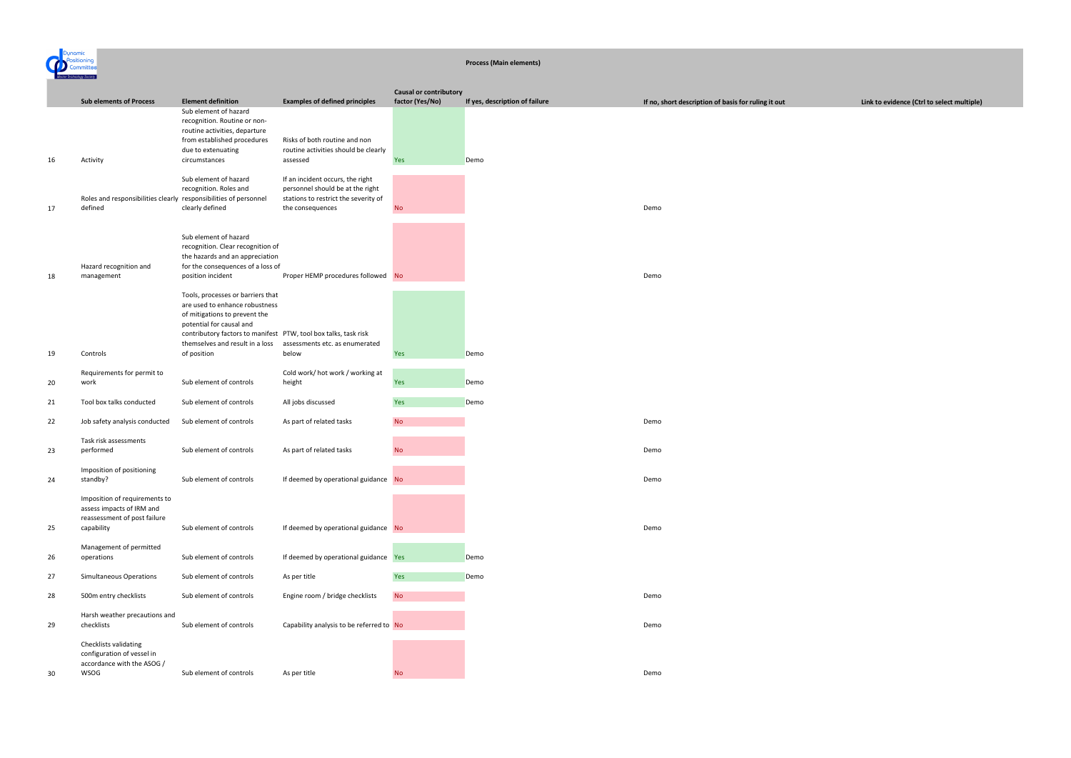

#### **Process (Main elements)**

|    |                                                                                                          |                                                                                                                                                                                                                                                       |                                                                                                                                  | <b>Causal or contributory</b> |                                |                                                     |
|----|----------------------------------------------------------------------------------------------------------|-------------------------------------------------------------------------------------------------------------------------------------------------------------------------------------------------------------------------------------------------------|----------------------------------------------------------------------------------------------------------------------------------|-------------------------------|--------------------------------|-----------------------------------------------------|
|    | <b>Sub elements of Process</b>                                                                           | <b>Element definition</b>                                                                                                                                                                                                                             | <b>Examples of defined principles</b>                                                                                            | factor (Yes/No)               | If yes, description of failure | If no, short description of basis for ruling it out |
| 16 | Activity                                                                                                 | Sub element of hazard<br>recognition. Routine or non-<br>routine activities, departure<br>from established procedures<br>due to extenuating<br>circumstances                                                                                          | Risks of both routine and non<br>routine activities should be clearly<br>assessed                                                | Yes                           | Demo                           |                                                     |
| 17 | Roles and responsibilities clearly responsibilities of personnel<br>defined                              | Sub element of hazard<br>recognition. Roles and<br>clearly defined                                                                                                                                                                                    | If an incident occurs, the right<br>personnel should be at the right<br>stations to restrict the severity of<br>the consequences | <b>No</b>                     |                                | Demo                                                |
| 18 | Hazard recognition and<br>management                                                                     | Sub element of hazard<br>recognition. Clear recognition of<br>the hazards and an appreciation<br>for the consequences of a loss of<br>position incident                                                                                               | Proper HEMP procedures followed No                                                                                               |                               |                                | Demo                                                |
| 19 | Controls                                                                                                 | Tools, processes or barriers that<br>are used to enhance robustness<br>of mitigations to prevent the<br>potential for causal and<br>contributory factors to manifest PTW, tool box talks, task risk<br>themselves and result in a loss<br>of position | assessments etc. as enumerated<br>below                                                                                          | Yes                           | Demo                           |                                                     |
|    |                                                                                                          |                                                                                                                                                                                                                                                       |                                                                                                                                  |                               |                                |                                                     |
| 20 | Requirements for permit to<br>work                                                                       | Sub element of controls                                                                                                                                                                                                                               | Cold work/ hot work / working at<br>height                                                                                       | Yes                           | Demo                           |                                                     |
| 21 | Tool box talks conducted                                                                                 | Sub element of controls                                                                                                                                                                                                                               | All jobs discussed                                                                                                               | Yes                           | Demo                           |                                                     |
| 22 | Job safety analysis conducted                                                                            | Sub element of controls                                                                                                                                                                                                                               | As part of related tasks                                                                                                         | <b>No</b>                     |                                | Demo                                                |
| 23 | Task risk assessments<br>performed                                                                       | Sub element of controls                                                                                                                                                                                                                               | As part of related tasks                                                                                                         | <b>No</b>                     |                                | Demo                                                |
| 24 | Imposition of positioning<br>standby?                                                                    | Sub element of controls                                                                                                                                                                                                                               | If deemed by operational guidance No                                                                                             |                               |                                | Demo                                                |
| 25 | Imposition of requirements to<br>assess impacts of IRM and<br>reassessment of post failure<br>capability | Sub element of controls                                                                                                                                                                                                                               | If deemed by operational guidance No                                                                                             |                               |                                | Demo                                                |
| 26 | Management of permitted<br>operations                                                                    | Sub element of controls                                                                                                                                                                                                                               | If deemed by operational guidance Yes                                                                                            |                               | Demo                           |                                                     |
| 27 | <b>Simultaneous Operations</b>                                                                           | Sub element of controls                                                                                                                                                                                                                               | As per title                                                                                                                     | Yes                           | Demo                           |                                                     |
| 28 | 500m entry checklists                                                                                    | Sub element of controls                                                                                                                                                                                                                               | Engine room / bridge checklists                                                                                                  | <b>No</b>                     |                                | Demo                                                |
| 29 | Harsh weather precautions and<br>checklists                                                              | Sub element of controls                                                                                                                                                                                                                               | Capability analysis to be referred to No                                                                                         |                               |                                | Demo                                                |
| 30 | Checklists validating<br>configuration of vessel in<br>accordance with the ASOG /<br>WSOG                | Sub element of controls                                                                                                                                                                                                                               | As per title                                                                                                                     | <b>No</b>                     |                                | Demo                                                |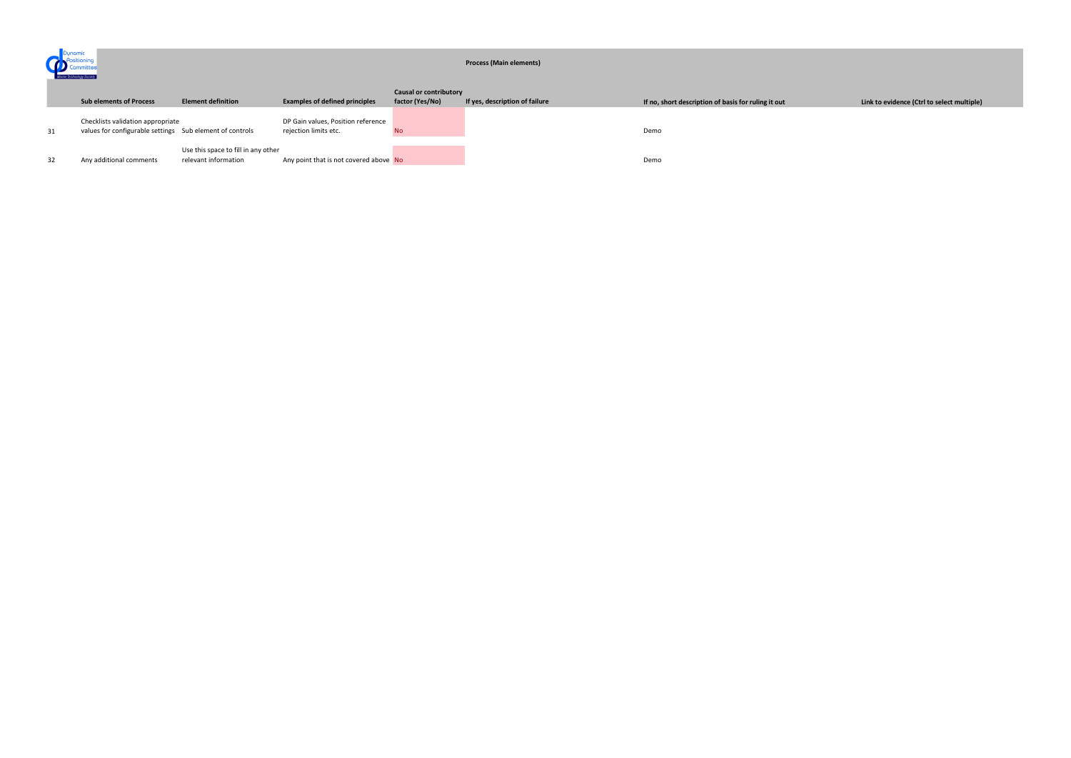| Dynamic<br>Marine Technology Society |                                                                                               |                                                             |                                                             | <b>Process (Main elements)</b> |                                |                                                     |
|--------------------------------------|-----------------------------------------------------------------------------------------------|-------------------------------------------------------------|-------------------------------------------------------------|--------------------------------|--------------------------------|-----------------------------------------------------|
|                                      |                                                                                               |                                                             |                                                             | <b>Causal or contributory</b>  |                                |                                                     |
|                                      | <b>Sub elements of Process</b>                                                                | <b>Element definition</b>                                   | <b>Examples of defined principles</b>                       | factor (Yes/No)                | If yes, description of failure | If no, short description of basis for ruling it out |
| 31                                   | Checklists validation appropriate<br>values for configurable settings Sub element of controls |                                                             | DP Gain values, Position reference<br>rejection limits etc. | <b>No</b>                      |                                | Demo                                                |
| 32                                   | Any additional comments                                                                       | Use this space to fill in any other<br>relevant information | Any point that is not covered above No                      |                                |                                | Demo                                                |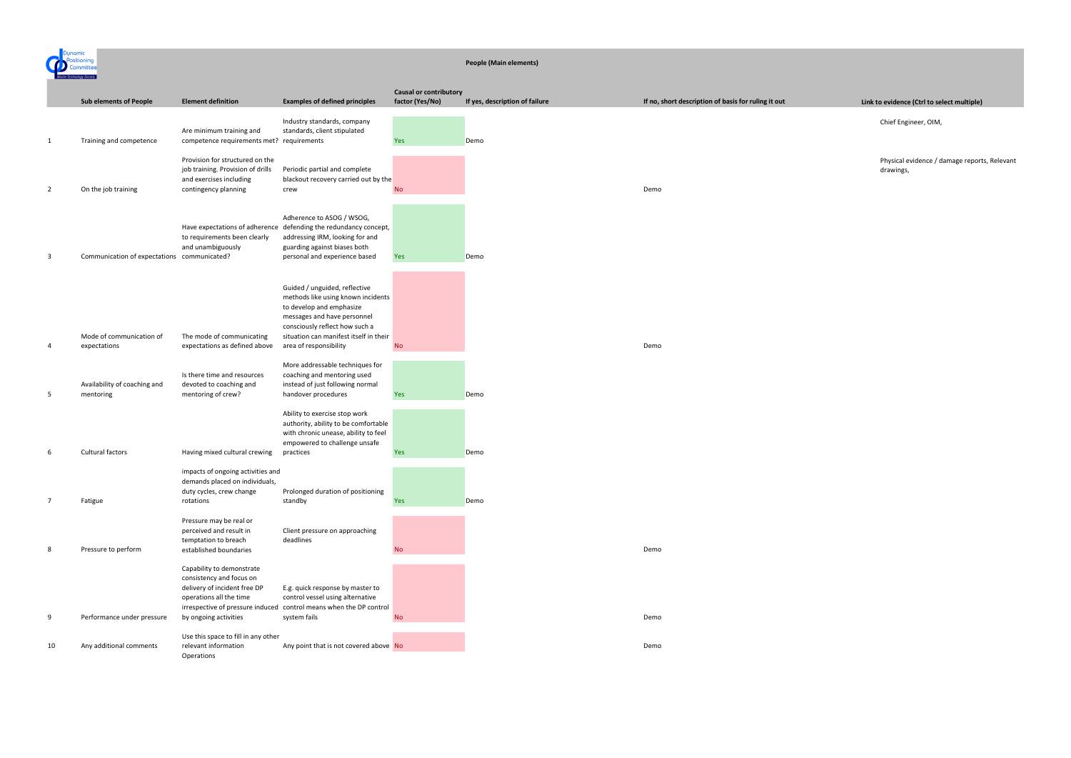

#### **People (Main elements)**

Chief Engineer, OIM,

Physical evidence / damage reports, Relevant drawings,

|    | <b>Sub elements of People</b>               | <b>Element definition</b>                                                                                                                            | <b>Examples of defined principles</b>                                                                                                                                                                      | <b>Causal or contributory</b><br>factor (Yes/No) | If yes, description of failure | If no, short description of basis for ruling it out |
|----|---------------------------------------------|------------------------------------------------------------------------------------------------------------------------------------------------------|------------------------------------------------------------------------------------------------------------------------------------------------------------------------------------------------------------|--------------------------------------------------|--------------------------------|-----------------------------------------------------|
|    |                                             |                                                                                                                                                      |                                                                                                                                                                                                            |                                                  |                                |                                                     |
| 1  | Training and competence                     | Are minimum training and<br>competence requirements met? requirements                                                                                | Industry standards, company<br>standards, client stipulated                                                                                                                                                | Yes                                              | Demo                           |                                                     |
| 2  | On the job training                         | Provision for structured on the<br>job training. Provision of drills<br>and exercises including<br>contingency planning                              | Periodic partial and complete<br>blackout recovery carried out by the<br>crew                                                                                                                              | <b>No</b>                                        |                                | Demo                                                |
|    |                                             |                                                                                                                                                      |                                                                                                                                                                                                            |                                                  |                                |                                                     |
| 3  | Communication of expectations communicated? | to requirements been clearly<br>and unambiguously                                                                                                    | Adherence to ASOG / WSOG,<br>Have expectations of adherence defending the redundancy concept,<br>addressing IRM, looking for and<br>guarding against biases both<br>personal and experience based          | Yes                                              | Demo                           |                                                     |
|    | Mode of communication of                    | The mode of communicating                                                                                                                            | Guided / unguided, reflective<br>methods like using known incidents<br>to develop and emphasize<br>messages and have personnel<br>consciously reflect how such a<br>situation can manifest itself in their |                                                  |                                |                                                     |
| 4  | expectations                                | expectations as defined above                                                                                                                        | area of responsibility                                                                                                                                                                                     | <b>No</b>                                        |                                | Demo                                                |
| 5  | Availability of coaching and<br>mentoring   | Is there time and resources<br>devoted to coaching and<br>mentoring of crew?                                                                         | More addressable techniques for<br>coaching and mentoring used<br>instead of just following normal<br>handover procedures                                                                                  | Yes                                              | Demo                           |                                                     |
|    |                                             |                                                                                                                                                      | Ability to exercise stop work<br>authority, ability to be comfortable<br>with chronic unease, ability to feel<br>empowered to challenge unsafe                                                             |                                                  |                                |                                                     |
| 6  | Cultural factors                            | Having mixed cultural crewing                                                                                                                        | practices                                                                                                                                                                                                  | Yes                                              | Demo                           |                                                     |
|    |                                             | impacts of ongoing activities and<br>demands placed on individuals,<br>duty cycles, crew change                                                      | Prolonged duration of positioning                                                                                                                                                                          |                                                  |                                |                                                     |
| 7  | Fatigue                                     | rotations                                                                                                                                            | standby                                                                                                                                                                                                    | Yes                                              | Demo                           |                                                     |
| 8  | Pressure to perform                         | Pressure may be real or<br>perceived and result in<br>temptation to breach<br>established boundaries                                                 | Client pressure on approaching<br>deadlines                                                                                                                                                                | <b>No</b>                                        |                                | Demo                                                |
|    |                                             | Capability to demonstrate<br>consistency and focus on<br>delivery of incident free DP<br>operations all the time<br>irrespective of pressure induced | E.g. quick response by master to<br>control vessel using alternative<br>control means when the DP control                                                                                                  |                                                  |                                |                                                     |
| 9  | Performance under pressure                  | by ongoing activities                                                                                                                                | system fails                                                                                                                                                                                               | <b>No</b>                                        |                                | Demo                                                |
| 10 | Any additional comments                     | Use this space to fill in any other<br>relevant information<br>Operations                                                                            | Any point that is not covered above No                                                                                                                                                                     |                                                  |                                | Demo                                                |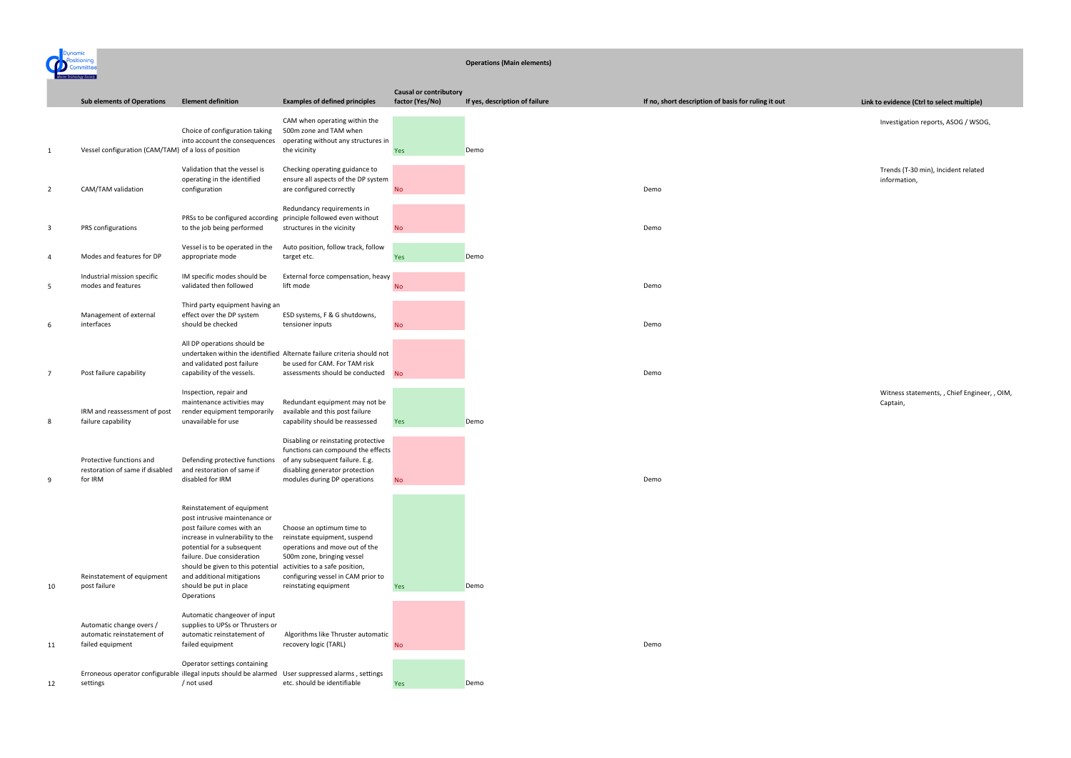

#### **Operations (Main elements)**

Investigation reports, ASOG / WSOG,

Trends (T-30 min), Incident related information,

|    | <b>Sub elements of Operations</b>                                            | <b>Element definition</b>                                                                                                                                                                                                                                                                                                           | <b>Examples of defined principles</b>                                                                                                                                                    | <b>Causal or contributory</b><br>factor (Yes/No) | If yes, description of failure | If no, short description of basis for ruling it out |
|----|------------------------------------------------------------------------------|-------------------------------------------------------------------------------------------------------------------------------------------------------------------------------------------------------------------------------------------------------------------------------------------------------------------------------------|------------------------------------------------------------------------------------------------------------------------------------------------------------------------------------------|--------------------------------------------------|--------------------------------|-----------------------------------------------------|
| 1  | Vessel configuration (CAM/TAM) of a loss of position                         | Choice of configuration taking<br>into account the consequences                                                                                                                                                                                                                                                                     | CAM when operating within the<br>500m zone and TAM when<br>operating without any structures in<br>the vicinity                                                                           | Yes                                              | Demo                           |                                                     |
| 2  | CAM/TAM validation                                                           | Validation that the vessel is<br>operating in the identified<br>configuration                                                                                                                                                                                                                                                       | Checking operating guidance to<br>ensure all aspects of the DP system<br>are configured correctly                                                                                        | <b>No</b>                                        |                                | Demo                                                |
| 3  | PRS configurations                                                           | PRSs to be configured according<br>to the job being performed                                                                                                                                                                                                                                                                       | Redundancy requirements in<br>principle followed even without<br>structures in the vicinity                                                                                              | <b>No</b>                                        |                                | Demo                                                |
| 4  | Modes and features for DP                                                    | Vessel is to be operated in the<br>appropriate mode                                                                                                                                                                                                                                                                                 | Auto position, follow track, follow<br>target etc.                                                                                                                                       | <b>Yes</b>                                       | Demo                           |                                                     |
| 5  | Industrial mission specific<br>modes and features                            | IM specific modes should be<br>validated then followed                                                                                                                                                                                                                                                                              | External force compensation, heavy<br>lift mode                                                                                                                                          | <b>No</b>                                        |                                | Demo                                                |
| 6  | Management of external<br>interfaces                                         | Third party equipment having an<br>effect over the DP system<br>should be checked                                                                                                                                                                                                                                                   | ESD systems, F & G shutdowns,<br>tensioner inputs                                                                                                                                        | <b>No</b>                                        |                                | Demo                                                |
|    | Post failure capability                                                      | All DP operations should be<br>and validated post failure<br>capability of the vessels.                                                                                                                                                                                                                                             | undertaken within the identified Alternate failure criteria should not<br>be used for CAM. For TAM risk<br>assessments should be conducted                                               | <b>No</b>                                        |                                | Demo                                                |
| 8  | IRM and reassessment of post<br>failure capability                           | Inspection, repair and<br>maintenance activities may<br>render equipment temporarily<br>unavailable for use                                                                                                                                                                                                                         | Redundant equipment may not be<br>available and this post failure<br>capability should be reassessed                                                                                     | <b>Yes</b>                                       | Demo                           |                                                     |
| 9  | Protective functions and<br>restoration of same if disabled<br>for IRM       | Defending protective functions<br>and restoration of same if<br>disabled for IRM                                                                                                                                                                                                                                                    | Disabling or reinstating protective<br>functions can compound the effects<br>of any subsequent failure. E.g.<br>disabling generator protection<br>modules during DP operations           | <b>No</b>                                        |                                | Demo                                                |
| 10 | Reinstatement of equipment<br>post failure                                   | Reinstatement of equipment<br>post intrusive maintenance or<br>post failure comes with an<br>increase in vulnerability to the<br>potential for a subsequent<br>failure. Due consideration<br>should be given to this potential activities to a safe position,<br>and additional mitigations<br>should be put in place<br>Operations | Choose an optimum time to<br>reinstate equipment, suspend<br>operations and move out of the<br>500m zone, bringing vessel<br>configuring vessel in CAM prior to<br>reinstating equipment | <b>Yes</b>                                       | Demo                           |                                                     |
| 11 | Automatic change overs /<br>automatic reinstatement of<br>failed equipment   | Automatic changeover of input<br>supplies to UPSs or Thrusters or<br>automatic reinstatement of<br>failed equipment                                                                                                                                                                                                                 | Algorithms like Thruster automatic<br>recovery logic (TARL)                                                                                                                              | <b>No</b>                                        |                                | Demo                                                |
| 12 | Erroneous operator configurable illegal inputs should be alarmed<br>settings | Operator settings containing<br>/ not used                                                                                                                                                                                                                                                                                          | User suppressed alarms, settings<br>etc. should be identifiable                                                                                                                          | <b>Yes</b>                                       | Demo                           |                                                     |

Witness statements, , Chief Engineer, , OIM, Captain,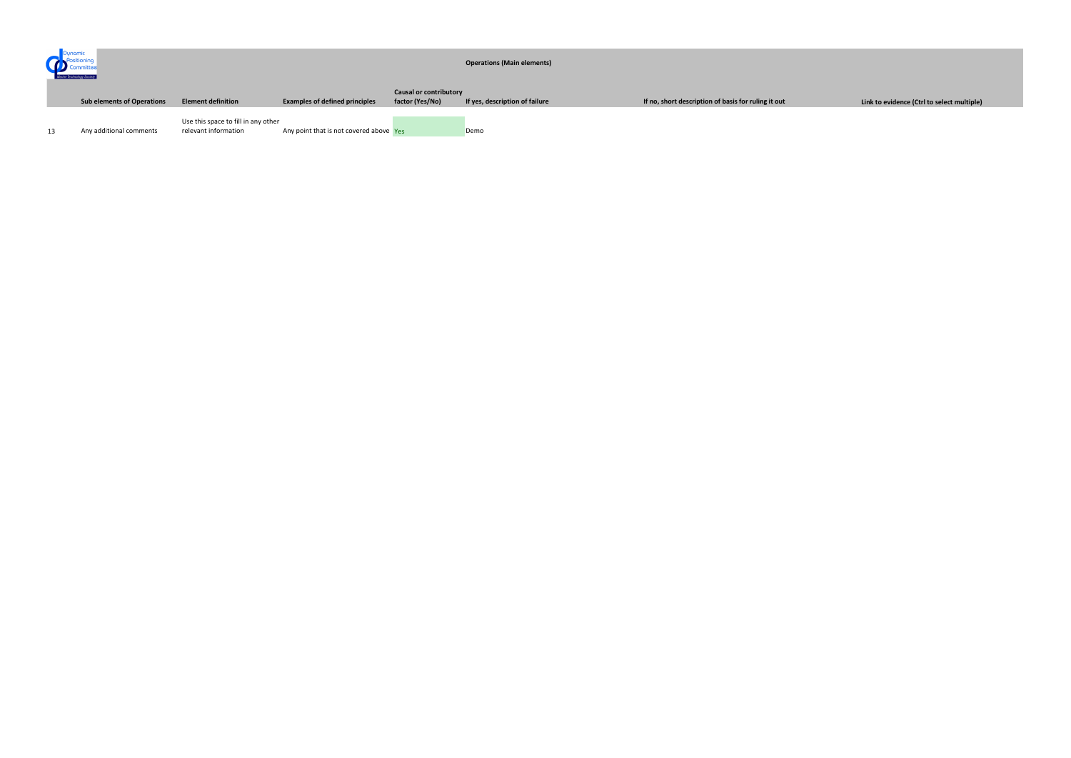| Dunamir<br>Committee<br>Marine Technology Society |  |                                   |                                                             | <b>Operations (Main elements)</b>       |                                                  |                                |                                                     |
|---------------------------------------------------|--|-----------------------------------|-------------------------------------------------------------|-----------------------------------------|--------------------------------------------------|--------------------------------|-----------------------------------------------------|
|                                                   |  | <b>Sub elements of Operations</b> | <b>Element definition</b>                                   | <b>Examples of defined principles</b>   | <b>Causal or contributory</b><br>factor (Yes/No) | If yes, description of failure | If no, short description of basis for ruling it out |
| 13                                                |  | Any additional comments           | Use this space to fill in any other<br>relevant information | Any point that is not covered above Yes |                                                  | Demo                           |                                                     |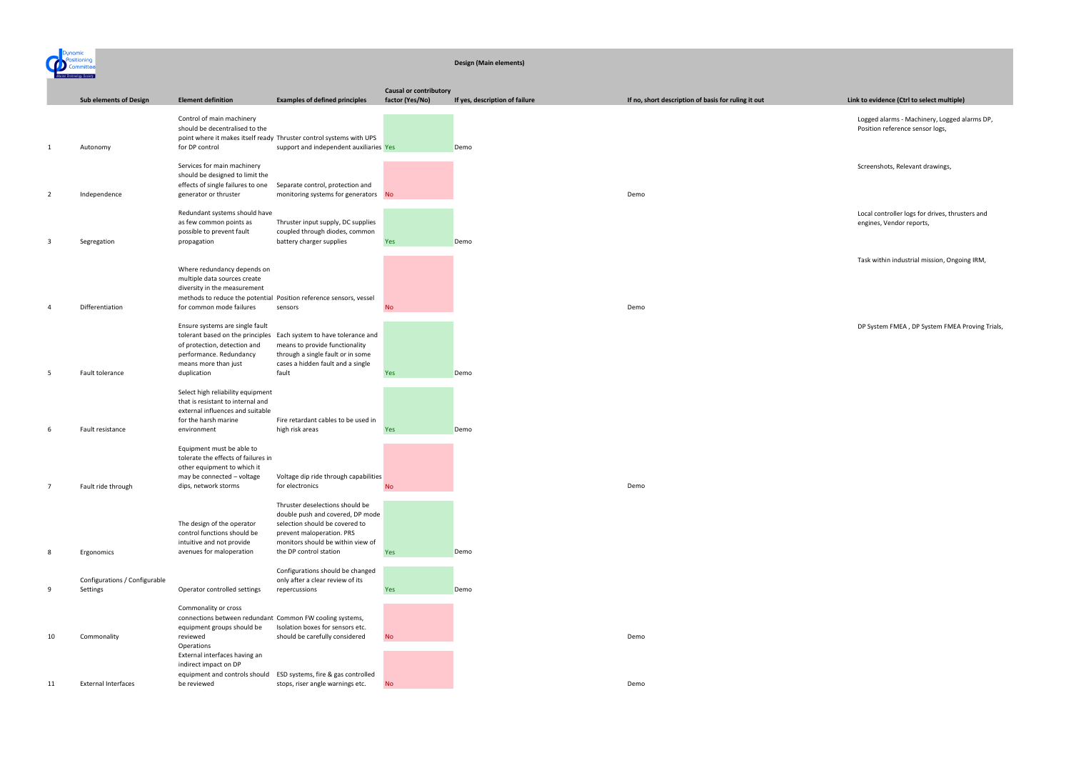## **Design (Main elements)**

Logged alarms - Machinery, Logged alarms DP, Position reference sensor logs,

Screenshots, Relevant drawings,

Local controller logs for drives, thrusters and engines, Vendor reports,

Task within industrial mission, Ongoing IRM,

|                |                                           |                                                                                                                                                                                                    |                                                                                                                                                                                                   | <b>Causal or contributory</b> |                                |                                                     |
|----------------|-------------------------------------------|----------------------------------------------------------------------------------------------------------------------------------------------------------------------------------------------------|---------------------------------------------------------------------------------------------------------------------------------------------------------------------------------------------------|-------------------------------|--------------------------------|-----------------------------------------------------|
|                | <b>Sub elements of Design</b>             | <b>Element definition</b>                                                                                                                                                                          | <b>Examples of defined principles</b>                                                                                                                                                             | factor (Yes/No)               | If yes, description of failure | If no, short description of basis for ruling it out |
| $\mathbf{1}$   | Autonomy                                  | Control of main machinery<br>should be decentralised to the<br>for DP control                                                                                                                      | point where it makes itself ready Thruster control systems with UPS<br>support and independent auxiliaries Yes                                                                                    |                               | Demo                           |                                                     |
| $\overline{2}$ | Independence                              | Services for main machinery<br>should be designed to limit the<br>effects of single failures to one<br>generator or thruster                                                                       | Separate control, protection and<br>monitoring systems for generators No                                                                                                                          |                               |                                | Demo                                                |
| 3              | Segregation                               | Redundant systems should have<br>as few common points as<br>possible to prevent fault<br>propagation                                                                                               | Thruster input supply, DC supplies<br>coupled through diodes, common<br>battery charger supplies                                                                                                  | <b>Yes</b>                    | Demo                           |                                                     |
| 4              | Differentiation                           | Where redundancy depends on<br>multiple data sources create<br>diversity in the measurement<br>for common mode failures                                                                            | methods to reduce the potential Position reference sensors, vessel<br>sensors                                                                                                                     | <b>No</b>                     |                                | Demo                                                |
| 5              | Fault tolerance                           | Ensure systems are single fault<br>of protection, detection and<br>performance. Redundancy<br>means more than just<br>duplication                                                                  | tolerant based on the principles Each system to have tolerance and<br>means to provide functionality<br>through a single fault or in some<br>cases a hidden fault and a single<br>fault           | Yes                           | Demo                           |                                                     |
| 6              | Fault resistance                          | Select high reliability equipment<br>that is resistant to internal and<br>external influences and suitable<br>for the harsh marine<br>environment                                                  | Fire retardant cables to be used in<br>high risk areas                                                                                                                                            | <b>Yes</b>                    | Demo                           |                                                     |
|                | Fault ride through                        | Equipment must be able to<br>tolerate the effects of failures in<br>other equipment to which it<br>may be connected - voltage<br>dips, network storms                                              | Voltage dip ride through capabilities<br>for electronics                                                                                                                                          | $\mathsf{No}$                 |                                | Demo                                                |
| 8              | Ergonomics                                | The design of the operator<br>control functions should be<br>intuitive and not provide<br>avenues for maloperation                                                                                 | Thruster deselections should be<br>double push and covered, DP mode<br>selection should be covered to<br>prevent maloperation. PRS<br>monitors should be within view of<br>the DP control station | Yes                           | Demo                           |                                                     |
| 9              | Configurations / Configurable<br>Settings | Operator controlled settings                                                                                                                                                                       | Configurations should be changed<br>only after a clear review of its<br>repercussions                                                                                                             | Yes                           | Demo                           |                                                     |
| 10             | Commonality                               | Commonality or cross<br>connections between redundant Common FW cooling systems,<br>equipment groups should be<br>reviewed<br>Operations<br>External interfaces having an<br>indirect impact on DP | Isolation boxes for sensors etc.<br>should be carefully considered                                                                                                                                | <b>No</b>                     |                                | Demo                                                |
| 11             | <b>External Interfaces</b>                | equipment and controls should<br>be reviewed                                                                                                                                                       | ESD systems, fire & gas controlled<br>stops, riser angle warnings etc.                                                                                                                            | <b>No</b>                     |                                | Demo                                                |

DP System FMEA , DP System FMEA Proving Trials,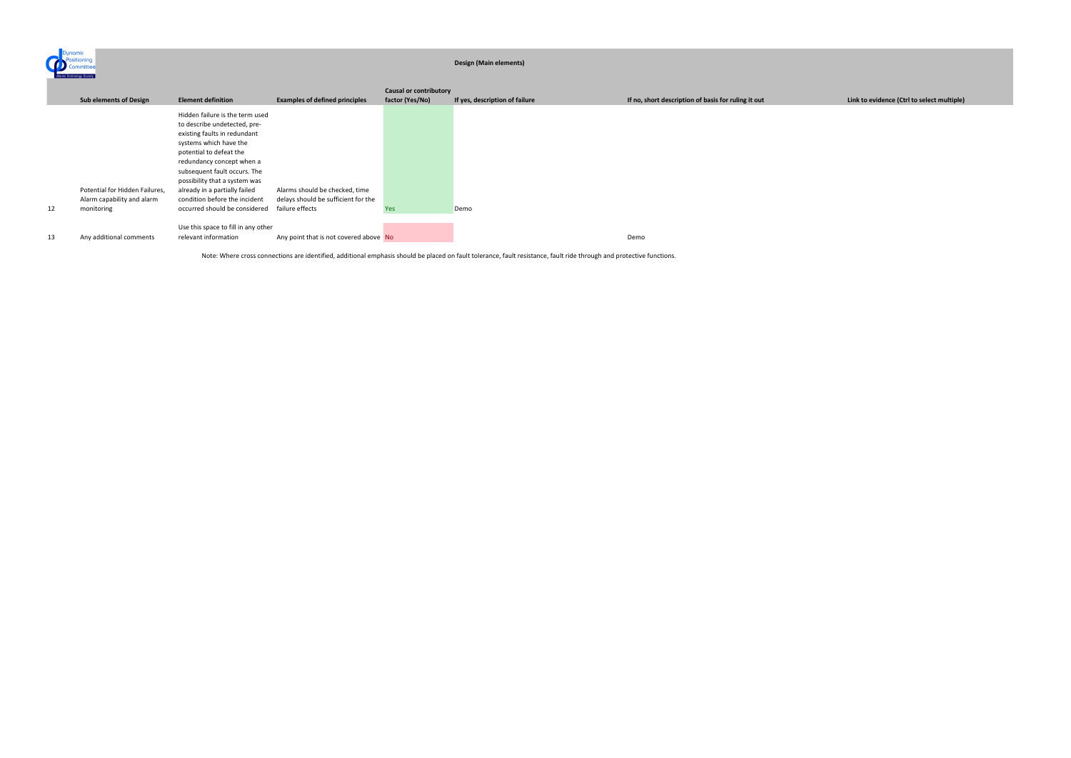ynamic<br>Positioning<br>Committe **O** 

## **Design (Main elements)**

|    | <b>Causal or contributory</b>                                |                                                                                                                                                                                                                                                                                                                      |                                                                       |                 |                                |                                                     |
|----|--------------------------------------------------------------|----------------------------------------------------------------------------------------------------------------------------------------------------------------------------------------------------------------------------------------------------------------------------------------------------------------------|-----------------------------------------------------------------------|-----------------|--------------------------------|-----------------------------------------------------|
|    | <b>Sub elements of Design</b>                                | <b>Element definition</b>                                                                                                                                                                                                                                                                                            | <b>Examples of defined principles</b>                                 | factor (Yes/No) | If yes, description of failure | If no, short description of basis for ruling it out |
|    | Potential for Hidden Failures,<br>Alarm capability and alarm | Hidden failure is the term used<br>to describe undetected, pre-<br>existing faults in redundant<br>systems which have the<br>potential to defeat the<br>redundancy concept when a<br>subsequent fault occurs. The<br>possibility that a system was<br>already in a partially failed<br>condition before the incident | Alarms should be checked, time<br>delays should be sufficient for the |                 |                                |                                                     |
| 12 | monitoring                                                   | occurred should be considered                                                                                                                                                                                                                                                                                        | failure effects                                                       | Yes             | Demo                           |                                                     |
| 13 | Any additional comments                                      | Use this space to fill in any other<br>relevant information                                                                                                                                                                                                                                                          | Any point that is not covered above No                                |                 |                                | Demo                                                |

Note: Where cross connections are identified, additional emphasis should be placed on fault tolerance, fault resistance, fault ride through and protective functions.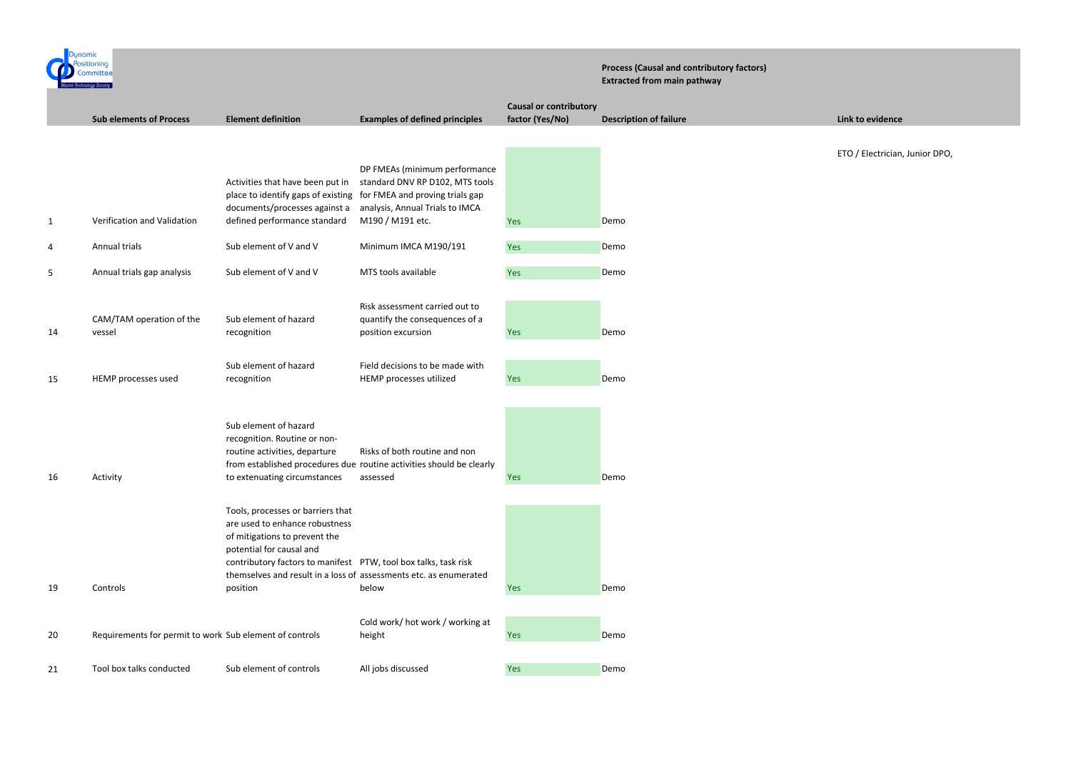ETO / Electrician, Junior DPO,

| Dunamic |                                                         |                                                                                                                                                                                                                                                                                      |                                                                                                                   |                                                  | <b>Process (Causal and contributory factors)</b><br><b>Extracted from main pathway</b> |
|---------|---------------------------------------------------------|--------------------------------------------------------------------------------------------------------------------------------------------------------------------------------------------------------------------------------------------------------------------------------------|-------------------------------------------------------------------------------------------------------------------|--------------------------------------------------|----------------------------------------------------------------------------------------|
|         | <b>Sub elements of Process</b>                          | <b>Element definition</b>                                                                                                                                                                                                                                                            | <b>Examples of defined principles</b>                                                                             | <b>Causal or contributory</b><br>factor (Yes/No) | <b>Description of failure</b>                                                          |
|         |                                                         | Activities that have been put in<br>place to identify gaps of existing                                                                                                                                                                                                               | DP FMEAs (minimum performance<br>standard DNV RP D102, MTS tools<br>for FMEA and proving trials gap               |                                                  |                                                                                        |
| 1       | Verification and Validation                             | documents/processes against a<br>defined performance standard                                                                                                                                                                                                                        | analysis, Annual Trials to IMCA<br>M190 / M191 etc.                                                               | Yes                                              | Demo                                                                                   |
| 4       | Annual trials                                           | Sub element of V and V                                                                                                                                                                                                                                                               | Minimum IMCA M190/191                                                                                             | Yes                                              | Demo                                                                                   |
| 5       | Annual trials gap analysis                              | Sub element of V and V                                                                                                                                                                                                                                                               | MTS tools available                                                                                               | Yes                                              | Demo                                                                                   |
| 14      | CAM/TAM operation of the<br>vessel                      | Sub element of hazard<br>recognition                                                                                                                                                                                                                                                 | Risk assessment carried out to<br>quantify the consequences of a<br>position excursion                            | Yes                                              | Demo                                                                                   |
| 15      | HEMP processes used                                     | Sub element of hazard<br>recognition                                                                                                                                                                                                                                                 | Field decisions to be made with<br>HEMP processes utilized                                                        | Yes                                              | Demo                                                                                   |
| 16      | Activity                                                | Sub element of hazard<br>recognition. Routine or non-<br>routine activities, departure<br>to extenuating circumstances                                                                                                                                                               | Risks of both routine and non<br>from established procedures due routine activities should be clearly<br>assessed | Yes                                              | Demo                                                                                   |
| 19      | Controls                                                | Tools, processes or barriers that<br>are used to enhance robustness<br>of mitigations to prevent the<br>potential for causal and<br>contributory factors to manifest PTW, tool box talks, task risk<br>themselves and result in a loss of assessments etc. as enumerated<br>position | below                                                                                                             | Yes                                              | Demo                                                                                   |
| 20      | Requirements for permit to work Sub element of controls |                                                                                                                                                                                                                                                                                      | Cold work/ hot work / working at<br>height                                                                        | Yes                                              | Demo                                                                                   |
| 21      | Tool box talks conducted                                | Sub element of controls                                                                                                                                                                                                                                                              | All jobs discussed                                                                                                | Yes                                              | Demo                                                                                   |

**Link to evidence**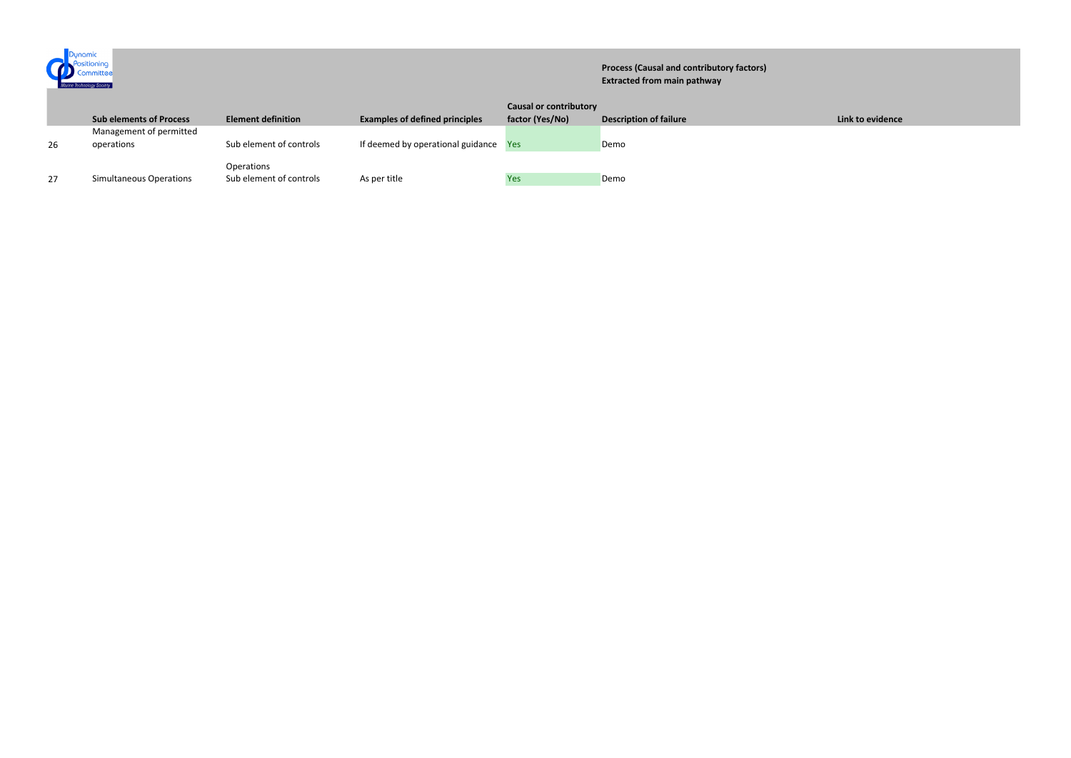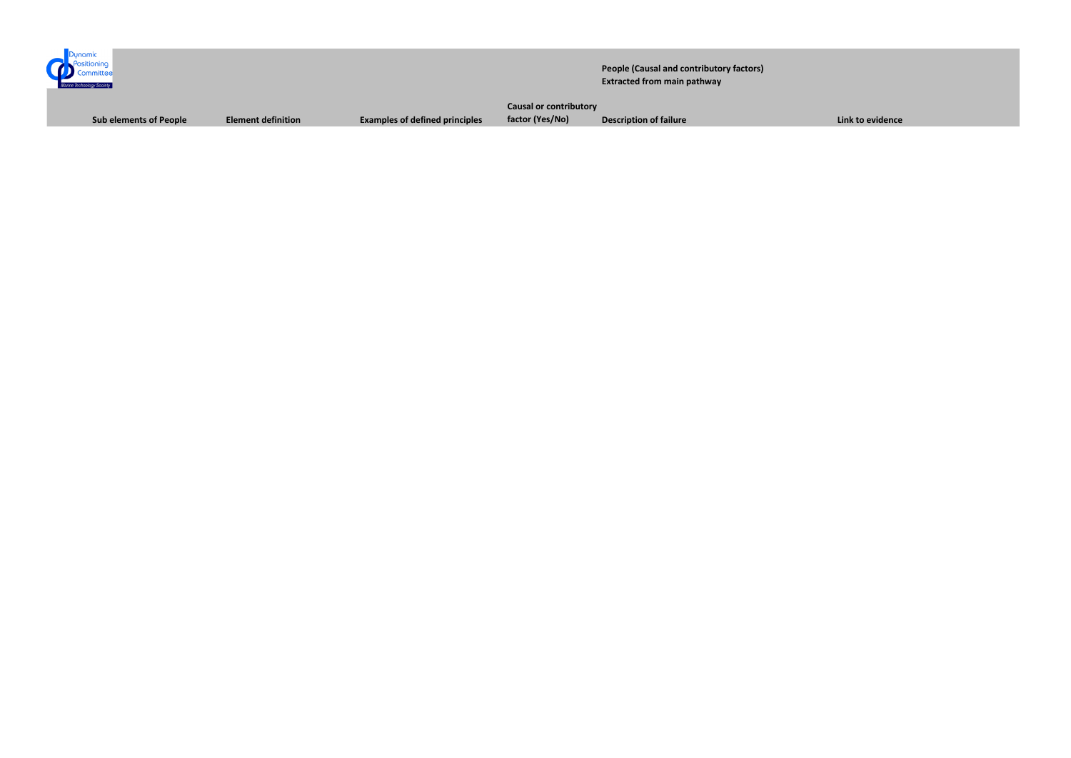

**People (Causal and contributory factors) Extracted from main pathway**

**Sub elements of People Element definition Examples of defined principles**

**Causal or contributory** 

**factor (Yes/No) Description of failure Link to evidence**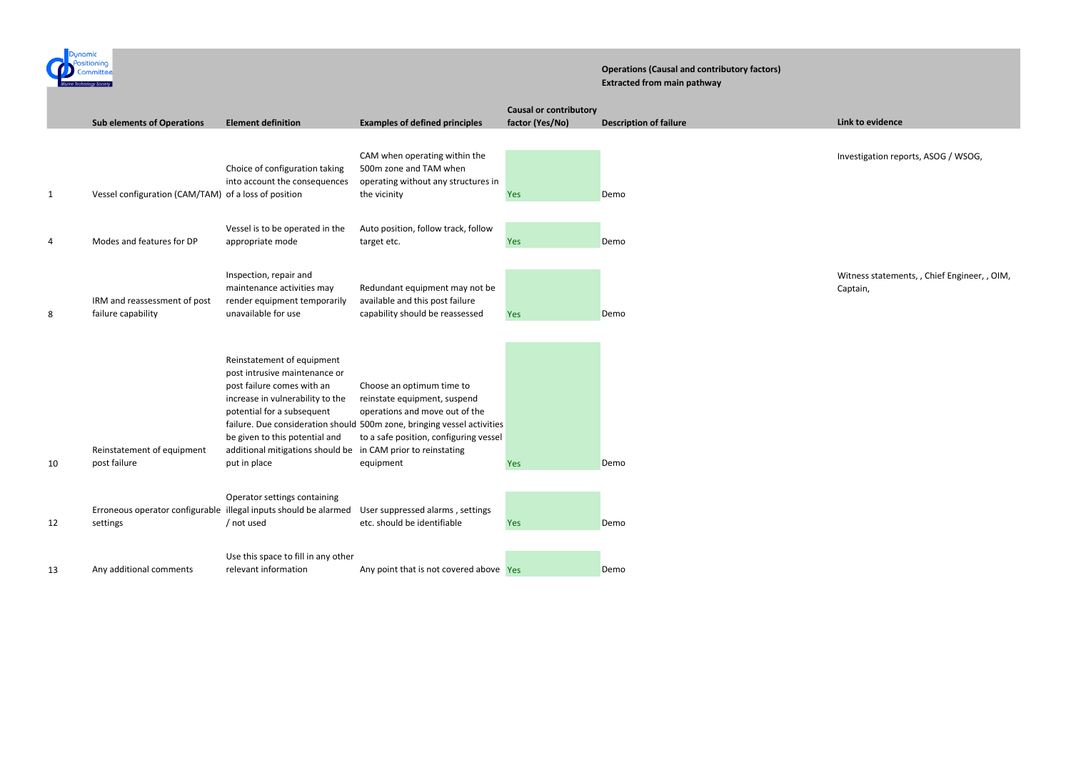

## **Operations (Causal and contributory factors) Extracted from main pathway**

Investigation reports, ASOG / WSOG,

Witness statements, , Chief Engineer, , OIM, Captain,

|    |                                                      |                                                                                                                                                                                                                                                   |                                                                                                                                                                                                                                                              | <b>Causal or contributory</b> |                               |
|----|------------------------------------------------------|---------------------------------------------------------------------------------------------------------------------------------------------------------------------------------------------------------------------------------------------------|--------------------------------------------------------------------------------------------------------------------------------------------------------------------------------------------------------------------------------------------------------------|-------------------------------|-------------------------------|
|    | <b>Sub elements of Operations</b>                    | <b>Element definition</b>                                                                                                                                                                                                                         | <b>Examples of defined principles</b>                                                                                                                                                                                                                        | factor (Yes/No)               | <b>Description of failure</b> |
| 1  | Vessel configuration (CAM/TAM) of a loss of position | Choice of configuration taking<br>into account the consequences                                                                                                                                                                                   | CAM when operating within the<br>500m zone and TAM when<br>operating without any structures in<br>the vicinity                                                                                                                                               | Yes                           | Demo                          |
| 4  | Modes and features for DP                            | Vessel is to be operated in the<br>appropriate mode                                                                                                                                                                                               | Auto position, follow track, follow<br>target etc.                                                                                                                                                                                                           | Yes                           | Demo                          |
| 8  | IRM and reassessment of post<br>failure capability   | Inspection, repair and<br>maintenance activities may<br>render equipment temporarily<br>unavailable for use                                                                                                                                       | Redundant equipment may not be<br>available and this post failure<br>capability should be reassessed                                                                                                                                                         | Yes                           | Demo                          |
| 10 | Reinstatement of equipment<br>post failure           | Reinstatement of equipment<br>post intrusive maintenance or<br>post failure comes with an<br>increase in vulnerability to the<br>potential for a subsequent<br>be given to this potential and<br>additional mitigations should be<br>put in place | Choose an optimum time to<br>reinstate equipment, suspend<br>operations and move out of the<br>failure. Due consideration should 500m zone, bringing vessel activities<br>to a safe position, configuring vessel<br>in CAM prior to reinstating<br>equipment | <b>Yes</b>                    | Demo                          |
| 12 | settings                                             | Operator settings containing<br>Erroneous operator configurable illegal inputs should be alarmed<br>/ not used                                                                                                                                    | d User suppressed alarms, settings<br>etc. should be identifiable                                                                                                                                                                                            | Yes                           | Demo                          |
| 13 | Any additional comments                              | Use this space to fill in any other<br>relevant information                                                                                                                                                                                       | Any point that is not covered above Yes                                                                                                                                                                                                                      |                               | Demo                          |

**Link to evidence**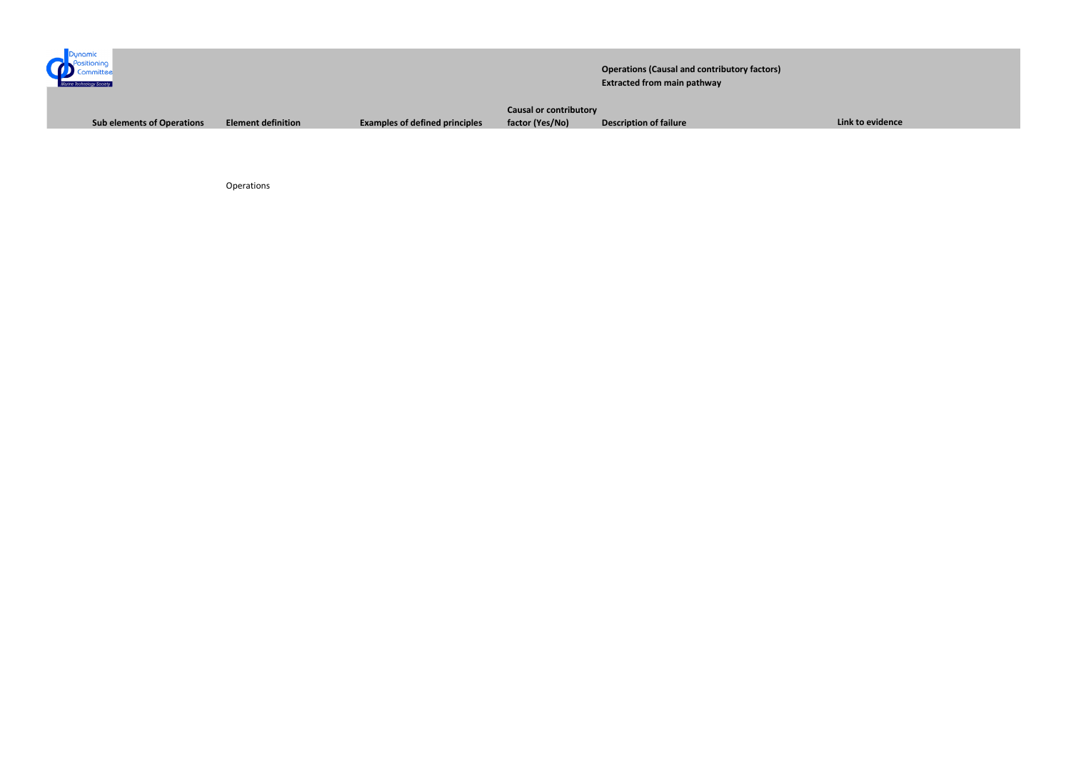

Operations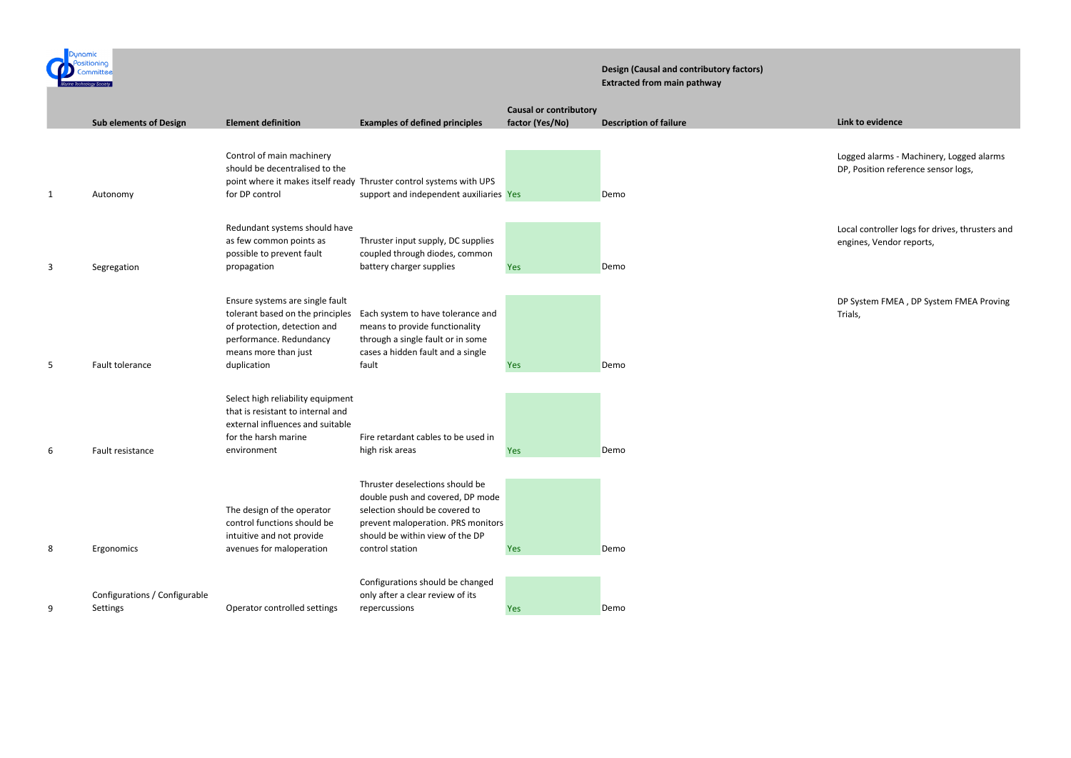

## **Design (Causal and contributory factors) Extracted from main pathway**

Logged alarms - Machinery, Logged alarms DP, Position reference sensor logs,

Local controller logs for drives, thrusters and engines, Vendor reports,

|   | <b>Sub elements of Design</b>             | <b>Element definition</b>                                                                                                                                             | <b>Examples of defined principles</b>                                                                                                                                                             | <b>Causal or contributory</b><br>factor (Yes/No) | <b>Description of failure</b> |
|---|-------------------------------------------|-----------------------------------------------------------------------------------------------------------------------------------------------------------------------|---------------------------------------------------------------------------------------------------------------------------------------------------------------------------------------------------|--------------------------------------------------|-------------------------------|
| 1 | Autonomy                                  | Control of main machinery<br>should be decentralised to the<br>for DP control                                                                                         | point where it makes itself ready Thruster control systems with UPS<br>support and independent auxiliaries Yes                                                                                    |                                                  | Demo                          |
| 3 | Segregation                               | Redundant systems should have<br>as few common points as<br>possible to prevent fault<br>propagation                                                                  | Thruster input supply, DC supplies<br>coupled through diodes, common<br>battery charger supplies                                                                                                  | Yes                                              | Demo                          |
| 5 | Fault tolerance                           | Ensure systems are single fault<br>tolerant based on the principles<br>of protection, detection and<br>performance. Redundancy<br>means more than just<br>duplication | Each system to have tolerance and<br>means to provide functionality<br>through a single fault or in some<br>cases a hidden fault and a single<br>fault                                            | <b>Yes</b>                                       | Demo                          |
| 6 | Fault resistance                          | Select high reliability equipment<br>that is resistant to internal and<br>external influences and suitable<br>for the harsh marine<br>environment                     | Fire retardant cables to be used in<br>high risk areas                                                                                                                                            | <b>Yes</b>                                       | Demo                          |
| 8 | Ergonomics                                | The design of the operator<br>control functions should be<br>intuitive and not provide<br>avenues for maloperation                                                    | Thruster deselections should be<br>double push and covered, DP mode<br>selection should be covered to<br>prevent maloperation. PRS monitors<br>should be within view of the DP<br>control station | <b>Yes</b>                                       | Demo                          |
| 9 | Configurations / Configurable<br>Settings | Operator controlled settings                                                                                                                                          | Configurations should be changed<br>only after a clear review of its<br>repercussions                                                                                                             | <b>Yes</b>                                       | Demo                          |

DP System FMEA , DP System FMEA Proving Trials,

## **Link to evidence**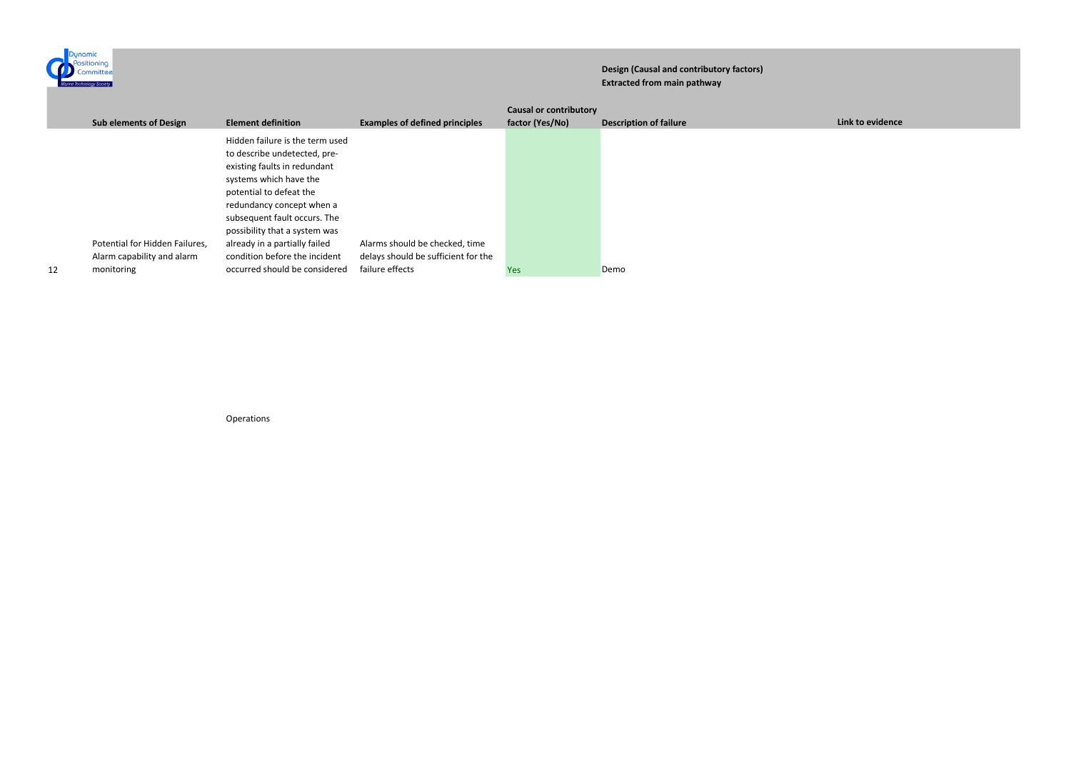

## **Design (Causal and contributory factors) Extracted from main pathway**

|    |                                                                            |                                                                                                                                                                                                                                                                                                                                                       |                                                                                          | <b>Causal or contributory</b> |                               |
|----|----------------------------------------------------------------------------|-------------------------------------------------------------------------------------------------------------------------------------------------------------------------------------------------------------------------------------------------------------------------------------------------------------------------------------------------------|------------------------------------------------------------------------------------------|-------------------------------|-------------------------------|
|    | <b>Sub elements of Design</b>                                              | <b>Element definition</b>                                                                                                                                                                                                                                                                                                                             | <b>Examples of defined principles</b>                                                    | factor (Yes/No)               | <b>Description of failure</b> |
| 12 | Potential for Hidden Failures,<br>Alarm capability and alarm<br>monitoring | Hidden failure is the term used<br>to describe undetected, pre-<br>existing faults in redundant<br>systems which have the<br>potential to defeat the<br>redundancy concept when a<br>subsequent fault occurs. The<br>possibility that a system was<br>already in a partially failed<br>condition before the incident<br>occurred should be considered | Alarms should be checked, time<br>delays should be sufficient for the<br>failure effects | Yes:                          | Demo                          |
|    |                                                                            |                                                                                                                                                                                                                                                                                                                                                       |                                                                                          |                               |                               |

Operations

*<u>Link to evidence</u>*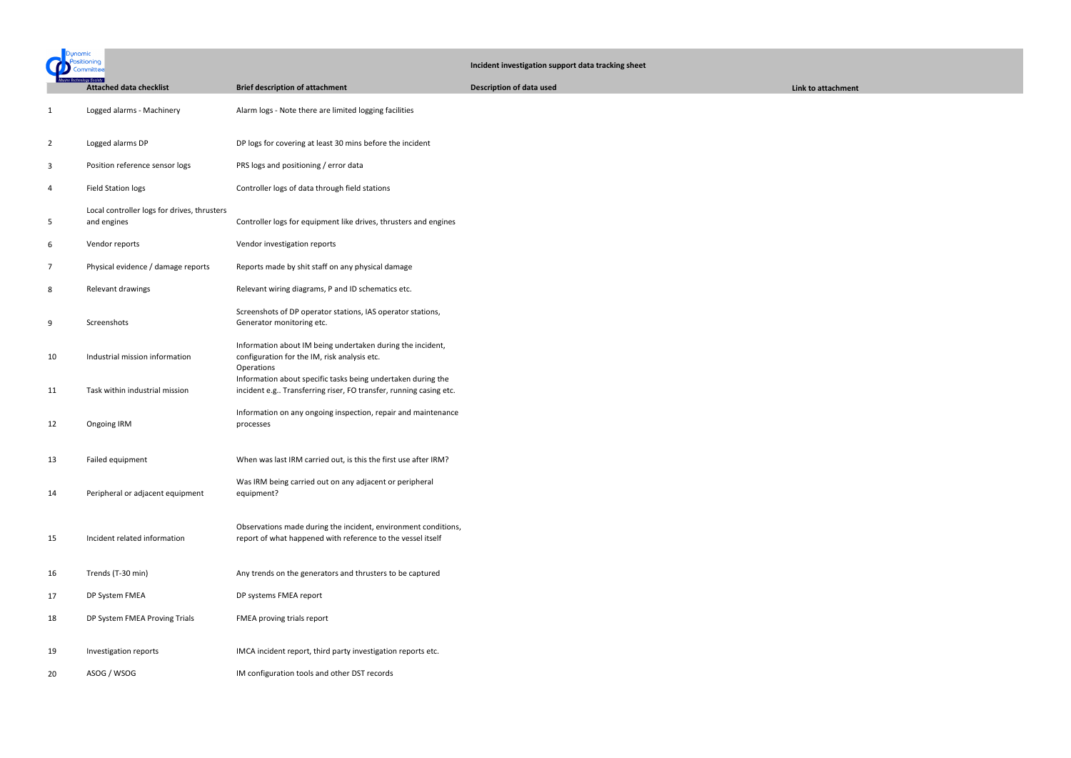| Dunamic        |                                                            |                                                                                                                                   | Incident investigation support data tracking sheet |                    |  |
|----------------|------------------------------------------------------------|-----------------------------------------------------------------------------------------------------------------------------------|----------------------------------------------------|--------------------|--|
|                | <b>Attached data checklist</b>                             | <b>Brief description of attachment</b>                                                                                            | <b>Description of data used</b>                    | Link to attachment |  |
| $\mathbf{1}$   | Logged alarms - Machinery                                  | Alarm logs - Note there are limited logging facilities                                                                            |                                                    |                    |  |
| $\overline{2}$ | Logged alarms DP                                           | DP logs for covering at least 30 mins before the incident                                                                         |                                                    |                    |  |
| 3              | Position reference sensor logs                             | PRS logs and positioning / error data                                                                                             |                                                    |                    |  |
| 4              | <b>Field Station logs</b>                                  | Controller logs of data through field stations                                                                                    |                                                    |                    |  |
| 5              | Local controller logs for drives, thrusters<br>and engines | Controller logs for equipment like drives, thrusters and engines                                                                  |                                                    |                    |  |
| 6              | Vendor reports                                             | Vendor investigation reports                                                                                                      |                                                    |                    |  |
| 7              | Physical evidence / damage reports                         | Reports made by shit staff on any physical damage                                                                                 |                                                    |                    |  |
| 8              | Relevant drawings                                          | Relevant wiring diagrams, P and ID schematics etc.                                                                                |                                                    |                    |  |
| 9              | Screenshots                                                | Screenshots of DP operator stations, IAS operator stations,<br>Generator monitoring etc.                                          |                                                    |                    |  |
| 10             | Industrial mission information                             | Information about IM being undertaken during the incident,<br>configuration for the IM, risk analysis etc.<br>Operations          |                                                    |                    |  |
| 11             | Task within industrial mission                             | Information about specific tasks being undertaken during the<br>incident e.g Transferring riser, FO transfer, running casing etc. |                                                    |                    |  |
| 12             | Ongoing IRM                                                | Information on any ongoing inspection, repair and maintenance<br>processes                                                        |                                                    |                    |  |
| 13             | Failed equipment                                           | When was last IRM carried out, is this the first use after IRM?                                                                   |                                                    |                    |  |
| 14             | Peripheral or adjacent equipment                           | Was IRM being carried out on any adjacent or peripheral<br>equipment?                                                             |                                                    |                    |  |
| 15             | Incident related information                               | Observations made during the incident, environment conditions,<br>report of what happened with reference to the vessel itself     |                                                    |                    |  |
| 16             | Trends (T-30 min)                                          | Any trends on the generators and thrusters to be captured                                                                         |                                                    |                    |  |
| 17             | DP System FMEA                                             | DP systems FMEA report                                                                                                            |                                                    |                    |  |
| 18             | DP System FMEA Proving Trials                              | FMEA proving trials report                                                                                                        |                                                    |                    |  |
| 19             | Investigation reports                                      | IMCA incident report, third party investigation reports etc.                                                                      |                                                    |                    |  |
| 20             | ASOG / WSOG                                                | IM configuration tools and other DST records                                                                                      |                                                    |                    |  |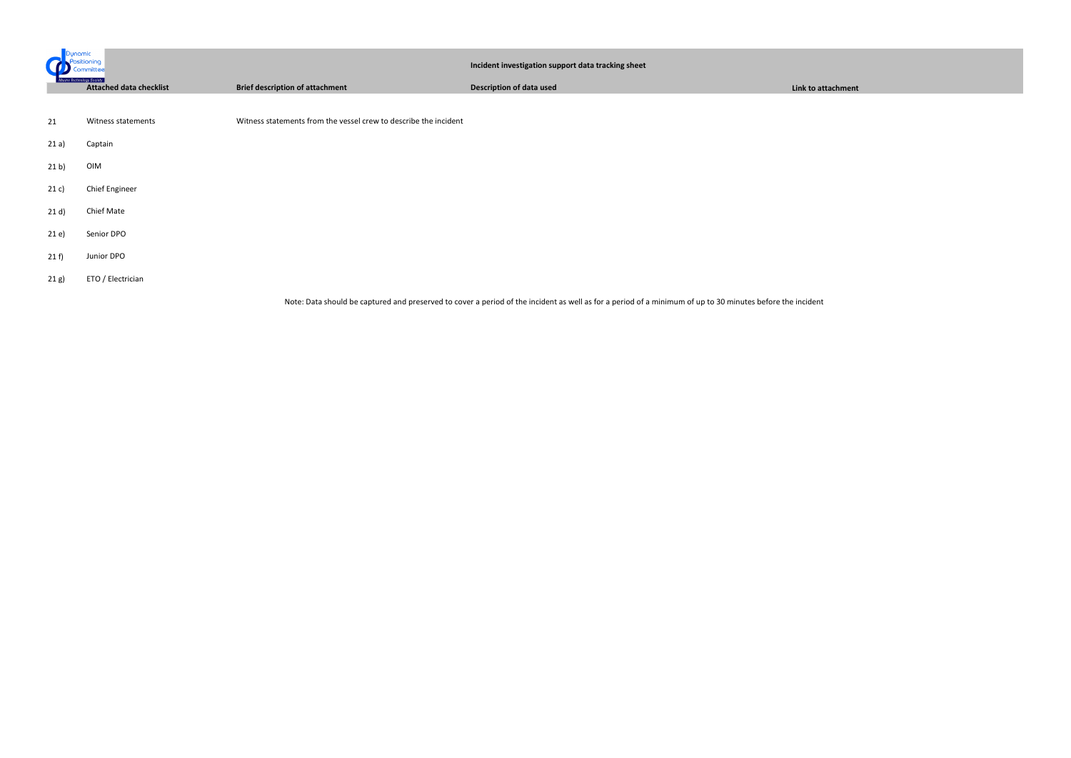| sitionina<br>.cmmittee |                                                                    | Incident investigation support data tracking sheet               |                                                                                                                                                            |                    |
|------------------------|--------------------------------------------------------------------|------------------------------------------------------------------|------------------------------------------------------------------------------------------------------------------------------------------------------------|--------------------|
|                        | <b>Marine Technology Society</b><br><b>Attached data checklist</b> | <b>Brief description of attachment</b>                           | <b>Description of data used</b>                                                                                                                            | Link to attachment |
|                        |                                                                    |                                                                  |                                                                                                                                                            |                    |
| 21                     | Witness statements                                                 | Witness statements from the vessel crew to describe the incident |                                                                                                                                                            |                    |
| 21 a)                  | Captain                                                            |                                                                  |                                                                                                                                                            |                    |
| 21 b)                  | OIM                                                                |                                                                  |                                                                                                                                                            |                    |
| 21 c)                  | Chief Engineer                                                     |                                                                  |                                                                                                                                                            |                    |
| 21 d)                  | Chief Mate                                                         |                                                                  |                                                                                                                                                            |                    |
| 21e)                   | Senior DPO                                                         |                                                                  |                                                                                                                                                            |                    |
| 21 f                   | Junior DPO                                                         |                                                                  |                                                                                                                                                            |                    |
| 21 g)                  | ETO / Electrician                                                  |                                                                  |                                                                                                                                                            |                    |
|                        |                                                                    |                                                                  | Note: Data should be captured and preserved to cover a period of the incident as well as for a period of a minimum of up to 30 minutes before the incident |                    |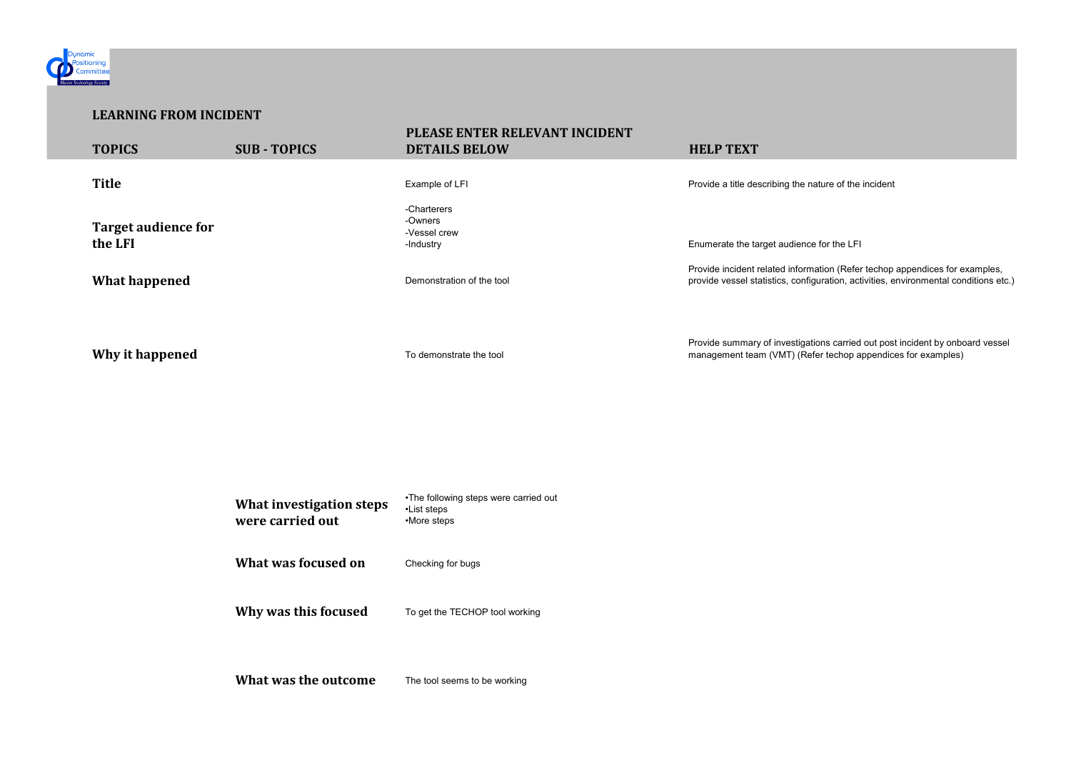| What investigation steps<br>were carried out | •The following steps were carried out<br>•List steps<br>•More steps |
|----------------------------------------------|---------------------------------------------------------------------|
| What was focused on                          | Checking for bugs                                                   |
| Why was this focused                         | To get the TECHOP tool working                                      |
| What was the outcome                         | The tool seems to be working                                        |

nation (Refer techop appendices for examples, guration, activities, environmental conditions etc.)

tions carried out post incident by onboard vessel fer techop appendices for examples)



## **LEARNING FROM INCIDENT**

| <b>TOPICS</b>                         | <b>SUB-TOPICS</b> | PLEASE ENTER RELEVANT INCIDENT<br><b>DETAILS BELOW</b> | <b>HELP TEXT</b>                                                                                              |
|---------------------------------------|-------------------|--------------------------------------------------------|---------------------------------------------------------------------------------------------------------------|
| <b>Title</b>                          |                   | Example of LFI                                         | Provide a title describing the nature of the incident                                                         |
| <b>Target audience for</b><br>the LFI |                   | -Charterers<br>-Owners<br>-Vessel crew<br>-Industry    | Enumerate the target audience for the LFI                                                                     |
| <b>What happened</b>                  |                   | Demonstration of the tool                              | Provide incident related information (Refer techop<br>provide vessel statistics, configuration, activities, e |
| Why it happened                       |                   | To demonstrate the tool                                | Provide summary of investigations carried out pos<br>management team (VMT) (Refer techop appendic             |
|                                       |                   |                                                        |                                                                                                               |
|                                       |                   |                                                        |                                                                                                               |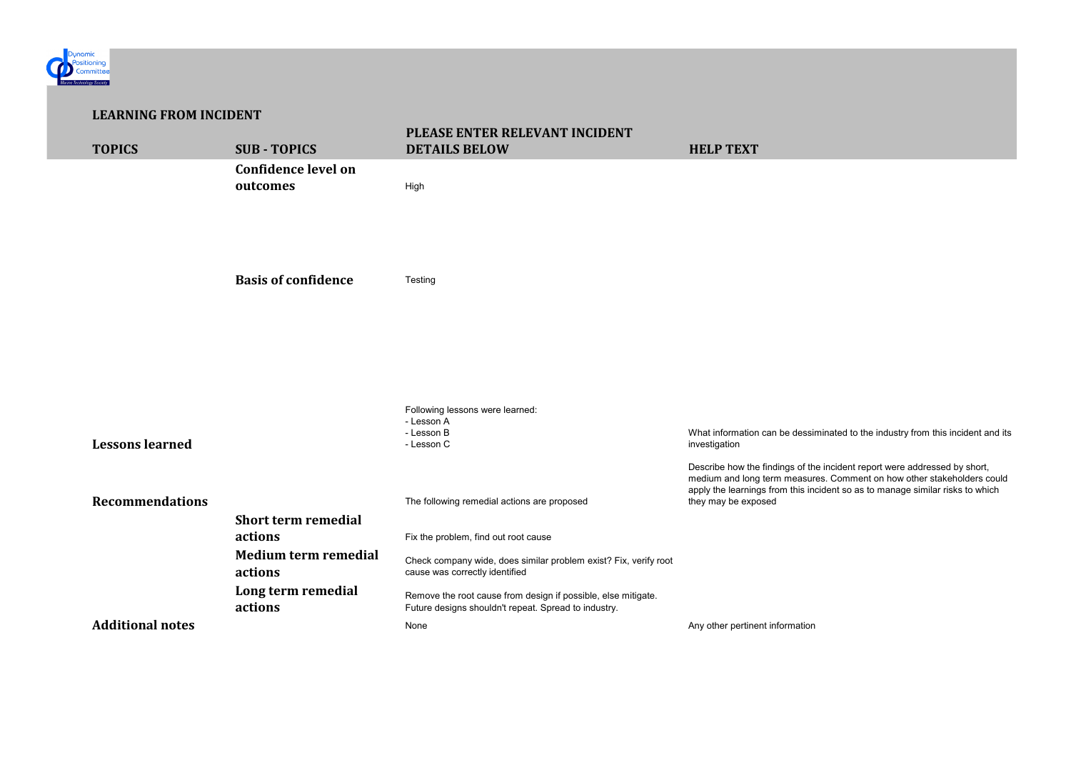

| <b>LEARNING FROM INCIDENT</b> |                         |                                        |                                                                                                                       |                                                                                        |  |
|-------------------------------|-------------------------|----------------------------------------|-----------------------------------------------------------------------------------------------------------------------|----------------------------------------------------------------------------------------|--|
|                               | <b>TOPICS</b>           | <b>SUB-TOPICS</b>                      | PLEASE ENTER RELEVANT INCIDENT<br><b>DETAILS BELOW</b>                                                                | <b>HELP TEXT</b>                                                                       |  |
|                               |                         | <b>Confidence level on</b><br>outcomes | High                                                                                                                  |                                                                                        |  |
|                               |                         | <b>Basis of confidence</b>             | Testing                                                                                                               |                                                                                        |  |
|                               | <b>Lessons learned</b>  |                                        | Following lessons were learned:<br>- Lesson A<br>- Lesson B<br>- Lesson C                                             | What information can be dessi<br>investigation<br>Describe how the findings of th      |  |
|                               | <b>Recommendations</b>  | <b>Short term remedial</b>             | The following remedial actions are proposed                                                                           | medium and long term measur<br>apply the learnings from this in<br>they may be exposed |  |
|                               |                         | actions                                | Fix the problem, find out root cause                                                                                  |                                                                                        |  |
|                               |                         | <b>Medium term remedial</b><br>actions | Check company wide, does similar problem exist? Fix, verify root<br>cause was correctly identified                    |                                                                                        |  |
|                               |                         | Long term remedial<br>actions          | Remove the root cause from design if possible, else mitigate.<br>Future designs shouldn't repeat. Spread to industry. |                                                                                        |  |
|                               | <b>Additional notes</b> |                                        | None                                                                                                                  | Any other pertinent information                                                        |  |

essiminated to the industry from this incident and its

f the incident report were addressed by short, isures. Comment on how other stakeholders could s incident so as to manage similar risks to which